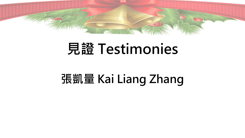

## **張凱量 Kai Liang Zhang**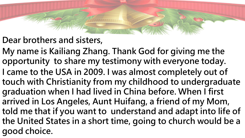## **Dear brothers and sisters,**

**My name is Kailiang Zhang. Thank God for giving me the opportunity to share my testimony with everyone today. I came to the USA in 2009. I was almost completely out of touch with Christianity from my childhood to undergraduate graduation when I had lived in China before. When I first arrived in Los Angeles, Aunt Huifang, a friend of my Mom, told me that if you want to understand and adapt into life of the United States in a short time, going to church would be a good choice.**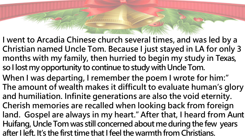**I went to Arcadia Chinese church several times, and was led by a Christian named Uncle Tom. Because I just stayed in LA for only 3 months with my family, then hurried to begin my study in Texas, so I lost my opportunity to continue to study with Uncle Tom. When I was departing, I remember the poem I wrote for him:" The amount of wealth makes it difficult to evaluate human's glory and humiliation. Infinite generations are also the void eternity. Cherish memories are recalled when looking back from foreign land. Gospel are always in my heart." After that, I heard from Aunt Huifang, Uncle Tom was still concerned about me during the few years after I left. It's the first time that I feel the warmth from Christians.**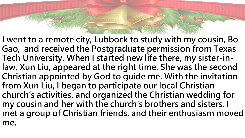**I went to a remote city, Lubbock to study with my cousin, Bo Gao, and received the Postgraduate permission from Texas Tech University. When I started new life there, my sister-inlaw, Xun Liu, appeared at the right time. She was the second Christian appointed by God to guide me. With the invitation from Xun Liu, I began to participate our local Christian church's activities, and organized the Christian wedding for my cousin and her with the church's brothers and sisters. I met a group of Christian friends, and their enthusiasm moved me.**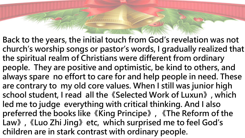**Back to the years, the initial touch from God's revelation was not church's worship songs or pastor's words, I gradually realized that the spiritual realm of Christians were different from ordinary people. They are positive and optimistic, be kind to others, and always spare no effort to care for and help people in need. These are contrary to my old core values. When I still was junior high school student, I read all the《Selected Work of Luxun》, which led me to judge everything with critical thinking. And I also preferred the books like《King Principe》, 《The Reform of the Law》,《Luo Zhi Jing》etc, which surprised me to feel God's children are in stark contrast with ordinary people.**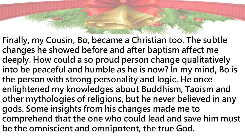**Finally, my Cousin, Bo, became a Christian too. The subtle changes he showed before and after baptism affect me deeply. How could a so proud person change qualitatively into be peaceful and humble as he is now? In my mind, Bo is the person with strong personality and logic. He once enlightened my knowledges about Buddhism, Taoism and other mythologies of religions, but he never believed in any gods. Some insights from his changes made me to comprehend that the one who could lead and save him must be the omniscient and omnipotent, the true God.**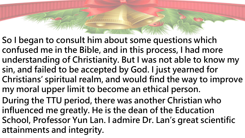- **So I began to consult him about some questions which confused me in the Bible, and in this process, I had more understanding of Christianity. But I was not able to know my sin, and failed to be accepted by God. I just yearned for Christians' spiritual realm, and would find the way to improve my moral upper limit to become an ethical person.**
- **During the TTU period, there was another Christian who influenced me greatly. He is the dean of the Education School, Professor Yun Lan. I admire Dr. Lan's great scientific attainments and integrity.**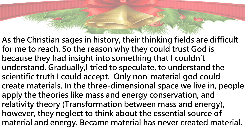**As the Christian sages in history, their thinking fields are difficult for me to reach. So the reason why they could trust God is because they had insight into something that I couldn't understand. Gradually,I tried to speculate, to understand the scientific truth I could accept. Only non-material god could create materials. In the three-dimensional space we live in, people apply the theories like mass and energy conservation, and relativity theory (Transformation between mass and energy), however, they neglect to think about the essential source of material and energy. Became material has never created material.**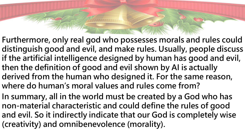- **Furthermore, only real god who possesses morals and rules could distinguish good and evil, and make rules. Usually, people discuss if the artificial intelligence designed by human has good and evil, then the definition of good and evil shown by AI is actually derived from the human who designed it. For the same reason, where do human's moral values and rules come from?**
- **In summary, all in the world must be created by a God who has non-material characteristic and could define the rules of good and evil. So it indirectly indicate that our God is completely wise (creativity) and omnibenevolence (morality).**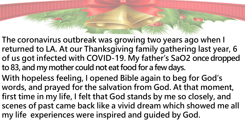- **The coronavirus outbreak was growing two years ago when I returned to LA. At our Thanksgiving family gathering last year, 6 of us got infected with COVID-19. My father's SaO2 once dropped to 83, and my mother could not eat food for a few days.**
- **With hopeless feeling, I opened Bible again to beg for God's words, and prayed for the salvation from God. At that moment, first time in my life, I felt that God stands by me so closely, and scenes of past came back like a vivid dream which showed me all my life experiences were inspired and guided by God.**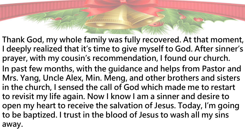**Thank God, my whole family was fully recovered. At that moment, I deeply realized that it's time to give myself to God. After sinner's prayer, with my cousin's recommendation, I found our church. In past few months, with the guidance and helps from Pastor and Mrs. Yang, Uncle Alex, Min. Meng, and other brothers and sisters in the church, I sensed the call of God which made me to restart to revisit my life again. Now I know I am a sinner and desire to open my heart to receive the salvation of Jesus. Today, I'm going to be baptized. I trust in the blood of Jesus to wash all my sins away.**